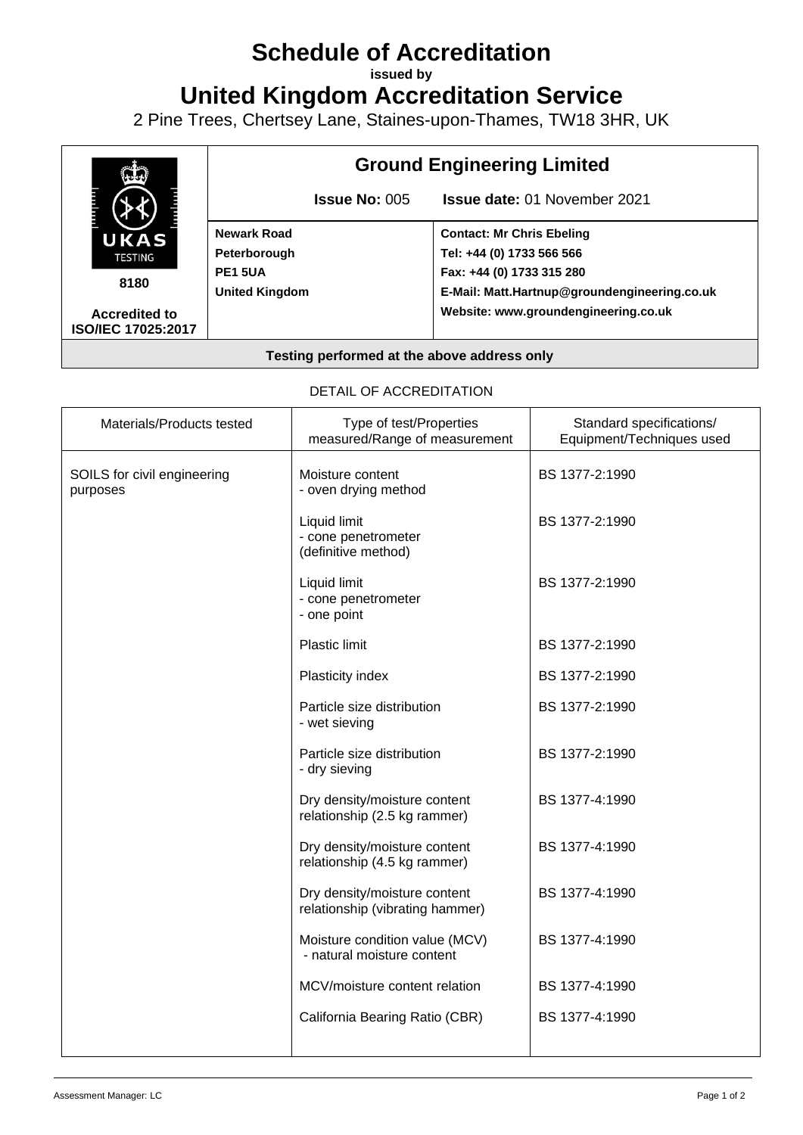## **Schedule of Accreditation**

**issued by**

**United Kingdom Accreditation Service**

2 Pine Trees, Chertsey Lane, Staines-upon-Thames, TW18 3HR, UK



## **Testing performed at the above address only**

## DETAIL OF ACCREDITATION

| Materials/Products tested               | Type of test/Properties<br>measured/Range of measurement        | Standard specifications/<br>Equipment/Techniques used |
|-----------------------------------------|-----------------------------------------------------------------|-------------------------------------------------------|
| SOILS for civil engineering<br>purposes | Moisture content<br>- oven drying method                        | BS 1377-2:1990                                        |
|                                         | Liquid limit<br>- cone penetrometer<br>(definitive method)      | BS 1377-2:1990                                        |
|                                         | Liquid limit<br>- cone penetrometer<br>- one point              | BS 1377-2:1990                                        |
|                                         | <b>Plastic limit</b>                                            | BS 1377-2:1990                                        |
|                                         | Plasticity index                                                | BS 1377-2:1990                                        |
|                                         | Particle size distribution<br>- wet sieving                     | BS 1377-2:1990                                        |
|                                         | Particle size distribution<br>- dry sieving                     | BS 1377-2:1990                                        |
|                                         | Dry density/moisture content<br>relationship (2.5 kg rammer)    | BS 1377-4:1990                                        |
|                                         | Dry density/moisture content<br>relationship (4.5 kg rammer)    | BS 1377-4:1990                                        |
|                                         | Dry density/moisture content<br>relationship (vibrating hammer) | BS 1377-4:1990                                        |
|                                         | Moisture condition value (MCV)<br>- natural moisture content    | BS 1377-4:1990                                        |
|                                         | MCV/moisture content relation                                   | BS 1377-4:1990                                        |
|                                         | California Bearing Ratio (CBR)                                  | BS 1377-4:1990                                        |